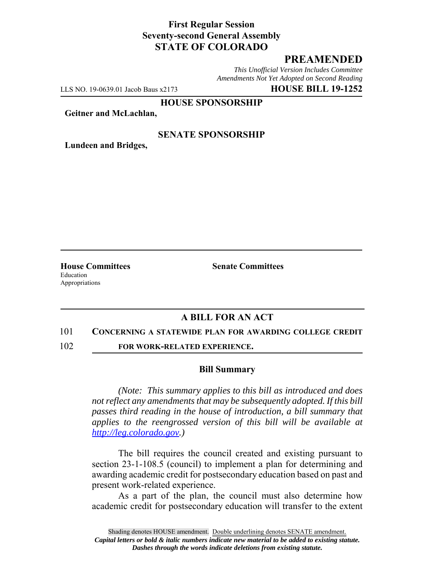### **First Regular Session Seventy-second General Assembly STATE OF COLORADO**

# **PREAMENDED**

*This Unofficial Version Includes Committee Amendments Not Yet Adopted on Second Reading*

LLS NO. 19-0639.01 Jacob Baus x2173 **HOUSE BILL 19-1252**

**HOUSE SPONSORSHIP**

**Geitner and McLachlan,**

### **SENATE SPONSORSHIP**

**Lundeen and Bridges,**

Education Appropriations

**House Committees Senate Committees** 

# **A BILL FOR AN ACT**

#### 101 **CONCERNING A STATEWIDE PLAN FOR AWARDING COLLEGE CREDIT**

102 **FOR WORK-RELATED EXPERIENCE.**

#### **Bill Summary**

*(Note: This summary applies to this bill as introduced and does not reflect any amendments that may be subsequently adopted. If this bill passes third reading in the house of introduction, a bill summary that applies to the reengrossed version of this bill will be available at http://leg.colorado.gov.)*

The bill requires the council created and existing pursuant to section 23-1-108.5 (council) to implement a plan for determining and awarding academic credit for postsecondary education based on past and present work-related experience.

As a part of the plan, the council must also determine how academic credit for postsecondary education will transfer to the extent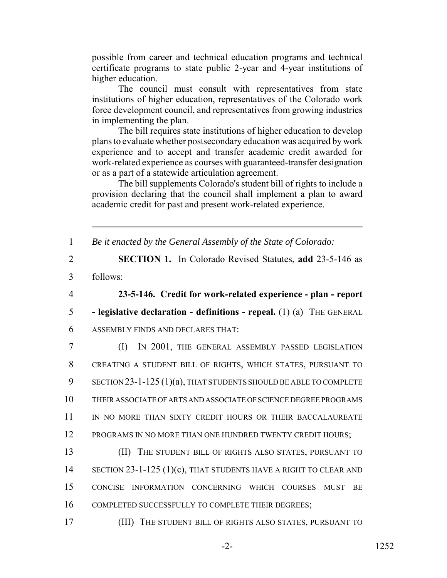possible from career and technical education programs and technical certificate programs to state public 2-year and 4-year institutions of higher education.

The council must consult with representatives from state institutions of higher education, representatives of the Colorado work force development council, and representatives from growing industries in implementing the plan.

The bill requires state institutions of higher education to develop plans to evaluate whether postsecondary education was acquired by work experience and to accept and transfer academic credit awarded for work-related experience as courses with guaranteed-transfer designation or as a part of a statewide articulation agreement.

The bill supplements Colorado's student bill of rights to include a provision declaring that the council shall implement a plan to award academic credit for past and present work-related experience.

1 *Be it enacted by the General Assembly of the State of Colorado:*

- 2 **SECTION 1.** In Colorado Revised Statutes, **add** 23-5-146 as 3 follows:
- 

4 **23-5-146. Credit for work-related experience - plan - report**

- 5  **legislative declaration definitions repeal.** (1) (a) THE GENERAL
- 6 ASSEMBLY FINDS AND DECLARES THAT:

7 (I) IN 2001, THE GENERAL ASSEMBLY PASSED LEGISLATION 8 CREATING A STUDENT BILL OF RIGHTS, WHICH STATES, PURSUANT TO 9 SECTION 23-1-125 (1)(a), THAT STUDENTS SHOULD BE ABLE TO COMPLETE 10 THEIR ASSOCIATE OF ARTS AND ASSOCIATE OF SCIENCE DEGREE PROGRAMS 11 IN NO MORE THAN SIXTY CREDIT HOURS OR THEIR BACCALAUREATE 12 PROGRAMS IN NO MORE THAN ONE HUNDRED TWENTY CREDIT HOURS;

13 (II) THE STUDENT BILL OF RIGHTS ALSO STATES, PURSUANT TO 14 SECTION 23-1-125 (1)(c), THAT STUDENTS HAVE A RIGHT TO CLEAR AND 15 CONCISE INFORMATION CONCERNING WHICH COURSES MUST BE 16 COMPLETED SUCCESSFULLY TO COMPLETE THEIR DEGREES;

17 (III) THE STUDENT BILL OF RIGHTS ALSO STATES, PURSUANT TO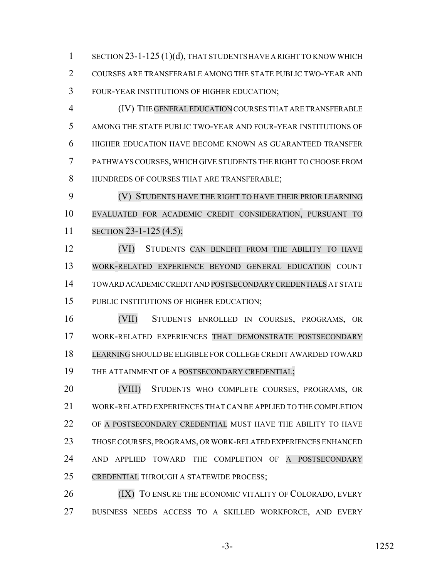1 SECTION 23-1-125 (1)(d), THAT STUDENTS HAVE A RIGHT TO KNOW WHICH COURSES ARE TRANSFERABLE AMONG THE STATE PUBLIC TWO-YEAR AND FOUR-YEAR INSTITUTIONS OF HIGHER EDUCATION;

 (IV) THE GENERAL EDUCATION COURSES THAT ARE TRANSFERABLE AMONG THE STATE PUBLIC TWO-YEAR AND FOUR-YEAR INSTITUTIONS OF HIGHER EDUCATION HAVE BECOME KNOWN AS GUARANTEED TRANSFER PATHWAYS COURSES, WHICH GIVE STUDENTS THE RIGHT TO CHOOSE FROM HUNDREDS OF COURSES THAT ARE TRANSFERABLE;

 (V) STUDENTS HAVE THE RIGHT TO HAVE THEIR PRIOR LEARNING EVALUATED FOR ACADEMIC CREDIT CONSIDERATION, PURSUANT TO SECTION 23-1-125 (4.5);

 (VI) STUDENTS CAN BENEFIT FROM THE ABILITY TO HAVE WORK-RELATED EXPERIENCE BEYOND GENERAL EDUCATION COUNT TOWARD ACADEMIC CREDIT AND POSTSECONDARY CREDENTIALS AT STATE PUBLIC INSTITUTIONS OF HIGHER EDUCATION;

 (VII) STUDENTS ENROLLED IN COURSES, PROGRAMS, OR WORK-RELATED EXPERIENCES THAT DEMONSTRATE POSTSECONDARY LEARNING SHOULD BE ELIGIBLE FOR COLLEGE CREDIT AWARDED TOWARD 19 THE ATTAINMENT OF A POSTSECONDARY CREDENTIAL;

 (VIII) STUDENTS WHO COMPLETE COURSES, PROGRAMS, OR WORK-RELATED EXPERIENCES THAT CAN BE APPLIED TO THE COMPLETION OF A POSTSECONDARY CREDENTIAL MUST HAVE THE ABILITY TO HAVE THOSE COURSES, PROGRAMS, OR WORK-RELATED EXPERIENCES ENHANCED AND APPLIED TOWARD THE COMPLETION OF A POSTSECONDARY CREDENTIAL THROUGH A STATEWIDE PROCESS;

**(IX)** TO ENSURE THE ECONOMIC VITALITY OF COLORADO, EVERY BUSINESS NEEDS ACCESS TO A SKILLED WORKFORCE, AND EVERY

-3- 1252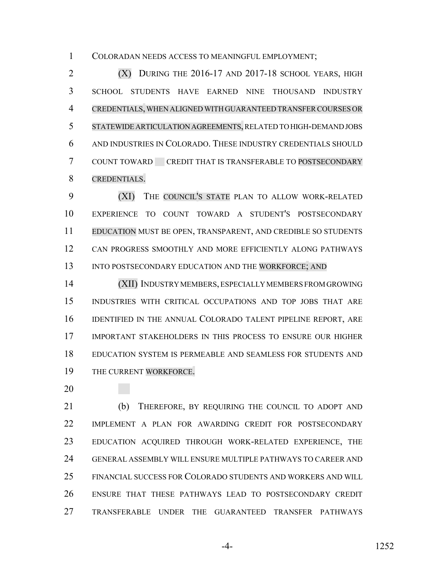COLORADAN NEEDS ACCESS TO MEANINGFUL EMPLOYMENT;

2 (X) DURING THE 2016-17 AND 2017-18 SCHOOL YEARS, HIGH SCHOOL STUDENTS HAVE EARNED NINE THOUSAND INDUSTRY CREDENTIALS, WHEN ALIGNED WITH GUARANTEED TRANSFER COURSES OR STATEWIDE ARTICULATION AGREEMENTS, RELATED TO HIGH-DEMAND JOBS AND INDUSTRIES IN COLORADO. THESE INDUSTRY CREDENTIALS SHOULD COUNT TOWARD CREDIT THAT IS TRANSFERABLE TO POSTSECONDARY CREDENTIALS.

 (XI) THE COUNCIL'S STATE PLAN TO ALLOW WORK-RELATED EXPERIENCE TO COUNT TOWARD A STUDENT'S POSTSECONDARY EDUCATION MUST BE OPEN, TRANSPARENT, AND CREDIBLE SO STUDENTS CAN PROGRESS SMOOTHLY AND MORE EFFICIENTLY ALONG PATHWAYS 13 INTO POSTSECONDARY EDUCATION AND THE WORKFORCE; AND

 (XII) INDUSTRY MEMBERS, ESPECIALLY MEMBERS FROM GROWING INDUSTRIES WITH CRITICAL OCCUPATIONS AND TOP JOBS THAT ARE IDENTIFIED IN THE ANNUAL COLORADO TALENT PIPELINE REPORT, ARE IMPORTANT STAKEHOLDERS IN THIS PROCESS TO ENSURE OUR HIGHER EDUCATION SYSTEM IS PERMEABLE AND SEAMLESS FOR STUDENTS AND THE CURRENT WORKFORCE.

 (b) THEREFORE, BY REQUIRING THE COUNCIL TO ADOPT AND IMPLEMENT A PLAN FOR AWARDING CREDIT FOR POSTSECONDARY EDUCATION ACQUIRED THROUGH WORK-RELATED EXPERIENCE, THE GENERAL ASSEMBLY WILL ENSURE MULTIPLE PATHWAYS TO CAREER AND FINANCIAL SUCCESS FOR COLORADO STUDENTS AND WORKERS AND WILL ENSURE THAT THESE PATHWAYS LEAD TO POSTSECONDARY CREDIT TRANSFERABLE UNDER THE GUARANTEED TRANSFER PATHWAYS

-4- 1252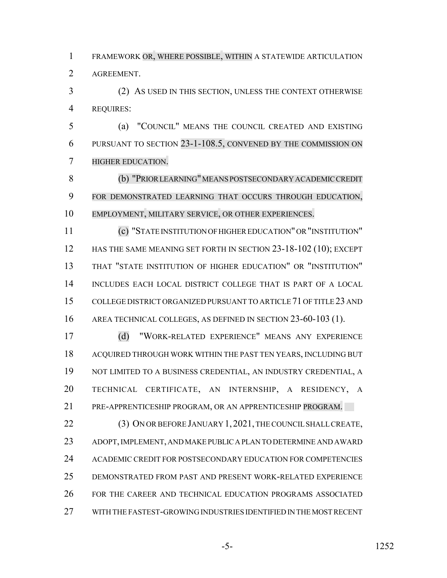FRAMEWORK OR, WHERE POSSIBLE, WITHIN A STATEWIDE ARTICULATION AGREEMENT.

 (2) AS USED IN THIS SECTION, UNLESS THE CONTEXT OTHERWISE REQUIRES:

 (a) "COUNCIL" MEANS THE COUNCIL CREATED AND EXISTING PURSUANT TO SECTION 23-1-108.5, CONVENED BY THE COMMISSION ON HIGHER EDUCATION.

 (b) "PRIOR LEARNING"MEANS POSTSECONDARYACADEMIC CREDIT FOR DEMONSTRATED LEARNING THAT OCCURS THROUGH EDUCATION, EMPLOYMENT, MILITARY SERVICE, OR OTHER EXPERIENCES.

 (c) "STATE INSTITUTION OF HIGHER EDUCATION" OR "INSTITUTION" 12 HAS THE SAME MEANING SET FORTH IN SECTION 23-18-102 (10); EXCEPT THAT "STATE INSTITUTION OF HIGHER EDUCATION" OR "INSTITUTION" INCLUDES EACH LOCAL DISTRICT COLLEGE THAT IS PART OF A LOCAL COLLEGE DISTRICT ORGANIZED PURSUANT TO ARTICLE 71 OF TITLE 23 AND AREA TECHNICAL COLLEGES, AS DEFINED IN SECTION 23-60-103 (1).

 (d) "WORK-RELATED EXPERIENCE" MEANS ANY EXPERIENCE ACQUIRED THROUGH WORK WITHIN THE PAST TEN YEARS, INCLUDING BUT NOT LIMITED TO A BUSINESS CREDENTIAL, AN INDUSTRY CREDENTIAL, A TECHNICAL CERTIFICATE, AN INTERNSHIP, A RESIDENCY, A PRE-APPRENTICESHIP PROGRAM, OR AN APPRENTICESHIP PROGRAM.

22 (3) ON OR BEFORE JANUARY 1, 2021, THE COUNCIL SHALL CREATE, ADOPT, IMPLEMENT, AND MAKE PUBLIC A PLAN TO DETERMINE AND AWARD ACADEMIC CREDIT FOR POSTSECONDARY EDUCATION FOR COMPETENCIES DEMONSTRATED FROM PAST AND PRESENT WORK-RELATED EXPERIENCE FOR THE CAREER AND TECHNICAL EDUCATION PROGRAMS ASSOCIATED WITH THE FASTEST-GROWING INDUSTRIES IDENTIFIED IN THE MOST RECENT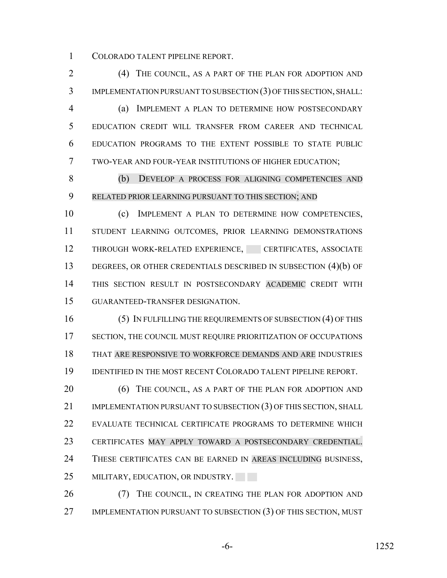COLORADO TALENT PIPELINE REPORT.

 (4) THE COUNCIL, AS A PART OF THE PLAN FOR ADOPTION AND IMPLEMENTATION PURSUANT TO SUBSECTION (3) OF THIS SECTION, SHALL: (a) IMPLEMENT A PLAN TO DETERMINE HOW POSTSECONDARY EDUCATION CREDIT WILL TRANSFER FROM CAREER AND TECHNICAL EDUCATION PROGRAMS TO THE EXTENT POSSIBLE TO STATE PUBLIC TWO-YEAR AND FOUR-YEAR INSTITUTIONS OF HIGHER EDUCATION;

 (b) DEVELOP A PROCESS FOR ALIGNING COMPETENCIES AND RELATED PRIOR LEARNING PURSUANT TO THIS SECTION; AND

 (c) IMPLEMENT A PLAN TO DETERMINE HOW COMPETENCIES, STUDENT LEARNING OUTCOMES, PRIOR LEARNING DEMONSTRATIONS 12 THROUGH WORK-RELATED EXPERIENCE, CERTIFICATES, ASSOCIATE DEGREES, OR OTHER CREDENTIALS DESCRIBED IN SUBSECTION (4)(b) OF THIS SECTION RESULT IN POSTSECONDARY ACADEMIC CREDIT WITH GUARANTEED-TRANSFER DESIGNATION.

 (5) IN FULFILLING THE REQUIREMENTS OF SUBSECTION (4) OF THIS SECTION, THE COUNCIL MUST REQUIRE PRIORITIZATION OF OCCUPATIONS THAT ARE RESPONSIVE TO WORKFORCE DEMANDS AND ARE INDUSTRIES IDENTIFIED IN THE MOST RECENT COLORADO TALENT PIPELINE REPORT.

20 (6) THE COUNCIL, AS A PART OF THE PLAN FOR ADOPTION AND 21 IMPLEMENTATION PURSUANT TO SUBSECTION (3) OF THIS SECTION, SHALL EVALUATE TECHNICAL CERTIFICATE PROGRAMS TO DETERMINE WHICH CERTIFICATES MAY APPLY TOWARD A POSTSECONDARY CREDENTIAL. 24 THESE CERTIFICATES CAN BE EARNED IN AREAS INCLUDING BUSINESS, 25 MILITARY, EDUCATION, OR INDUSTRY.

26 (7) THE COUNCIL, IN CREATING THE PLAN FOR ADOPTION AND IMPLEMENTATION PURSUANT TO SUBSECTION (3) OF THIS SECTION, MUST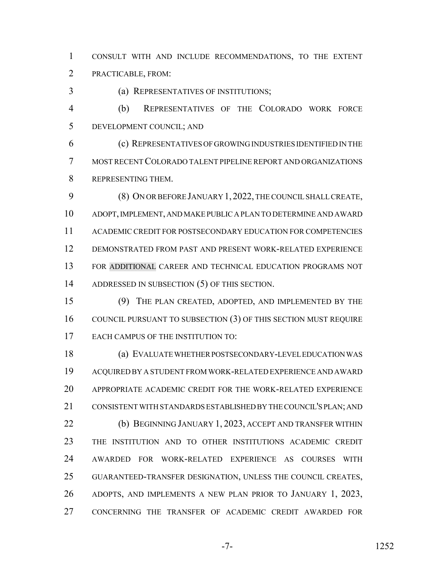CONSULT WITH AND INCLUDE RECOMMENDATIONS, TO THE EXTENT PRACTICABLE, FROM:

(a) REPRESENTATIVES OF INSTITUTIONS;

 (b) REPRESENTATIVES OF THE COLORADO WORK FORCE DEVELOPMENT COUNCIL; AND

 (c) REPRESENTATIVES OF GROWING INDUSTRIES IDENTIFIED IN THE MOST RECENT COLORADO TALENT PIPELINE REPORT AND ORGANIZATIONS REPRESENTING THEM.

 (8) ON OR BEFORE JANUARY 1,2022, THE COUNCIL SHALL CREATE, ADOPT, IMPLEMENT, AND MAKE PUBLIC A PLAN TO DETERMINE AND AWARD ACADEMIC CREDIT FOR POSTSECONDARY EDUCATION FOR COMPETENCIES DEMONSTRATED FROM PAST AND PRESENT WORK-RELATED EXPERIENCE FOR ADDITIONAL CAREER AND TECHNICAL EDUCATION PROGRAMS NOT ADDRESSED IN SUBSECTION (5) OF THIS SECTION.

 (9) THE PLAN CREATED, ADOPTED, AND IMPLEMENTED BY THE COUNCIL PURSUANT TO SUBSECTION (3) OF THIS SECTION MUST REQUIRE 17 EACH CAMPUS OF THE INSTITUTION TO:

 (a) EVALUATE WHETHER POSTSECONDARY-LEVEL EDUCATION WAS ACQUIRED BY A STUDENT FROM WORK-RELATED EXPERIENCE AND AWARD APPROPRIATE ACADEMIC CREDIT FOR THE WORK-RELATED EXPERIENCE CONSISTENT WITH STANDARDS ESTABLISHED BY THE COUNCIL'S PLAN; AND **(b) BEGINNING JANUARY 1, 2023, ACCEPT AND TRANSFER WITHIN**  THE INSTITUTION AND TO OTHER INSTITUTIONS ACADEMIC CREDIT AWARDED FOR WORK-RELATED EXPERIENCE AS COURSES WITH GUARANTEED-TRANSFER DESIGNATION, UNLESS THE COUNCIL CREATES, ADOPTS, AND IMPLEMENTS A NEW PLAN PRIOR TO JANUARY 1, 2023, CONCERNING THE TRANSFER OF ACADEMIC CREDIT AWARDED FOR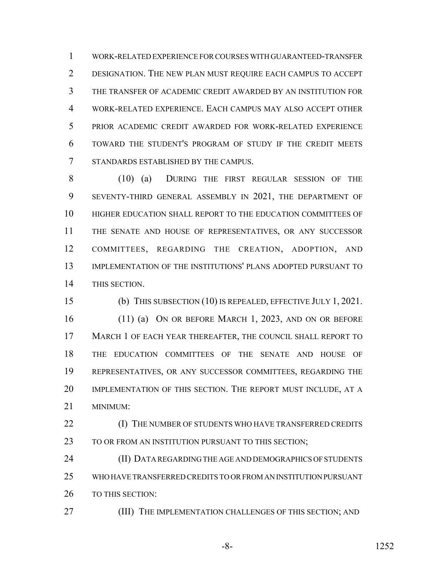WORK-RELATED EXPERIENCE FOR COURSES WITH GUARANTEED-TRANSFER DESIGNATION. THE NEW PLAN MUST REQUIRE EACH CAMPUS TO ACCEPT THE TRANSFER OF ACADEMIC CREDIT AWARDED BY AN INSTITUTION FOR WORK-RELATED EXPERIENCE. EACH CAMPUS MAY ALSO ACCEPT OTHER PRIOR ACADEMIC CREDIT AWARDED FOR WORK-RELATED EXPERIENCE TOWARD THE STUDENT'S PROGRAM OF STUDY IF THE CREDIT MEETS STANDARDS ESTABLISHED BY THE CAMPUS.

 (10) (a) DURING THE FIRST REGULAR SESSION OF THE SEVENTY-THIRD GENERAL ASSEMBLY IN 2021, THE DEPARTMENT OF HIGHER EDUCATION SHALL REPORT TO THE EDUCATION COMMITTEES OF THE SENATE AND HOUSE OF REPRESENTATIVES, OR ANY SUCCESSOR COMMITTEES, REGARDING THE CREATION, ADOPTION, AND IMPLEMENTATION OF THE INSTITUTIONS' PLANS ADOPTED PURSUANT TO THIS SECTION.

 (b) THIS SUBSECTION (10) IS REPEALED, EFFECTIVE JULY 1, 2021. (11) (a) ON OR BEFORE MARCH 1, 2023, AND ON OR BEFORE MARCH 1 OF EACH YEAR THEREAFTER, THE COUNCIL SHALL REPORT TO THE EDUCATION COMMITTEES OF THE SENATE AND HOUSE OF REPRESENTATIVES, OR ANY SUCCESSOR COMMITTEES, REGARDING THE IMPLEMENTATION OF THIS SECTION. THE REPORT MUST INCLUDE, AT A MINIMUM:

**(I) THE NUMBER OF STUDENTS WHO HAVE TRANSFERRED CREDITS** 23 TO OR FROM AN INSTITUTION PURSUANT TO THIS SECTION;

 (II) DATA REGARDING THE AGE AND DEMOGRAPHICS OF STUDENTS WHO HAVE TRANSFERRED CREDITS TO OR FROM AN INSTITUTION PURSUANT TO THIS SECTION:

27 (III) THE IMPLEMENTATION CHALLENGES OF THIS SECTION; AND

-8- 1252